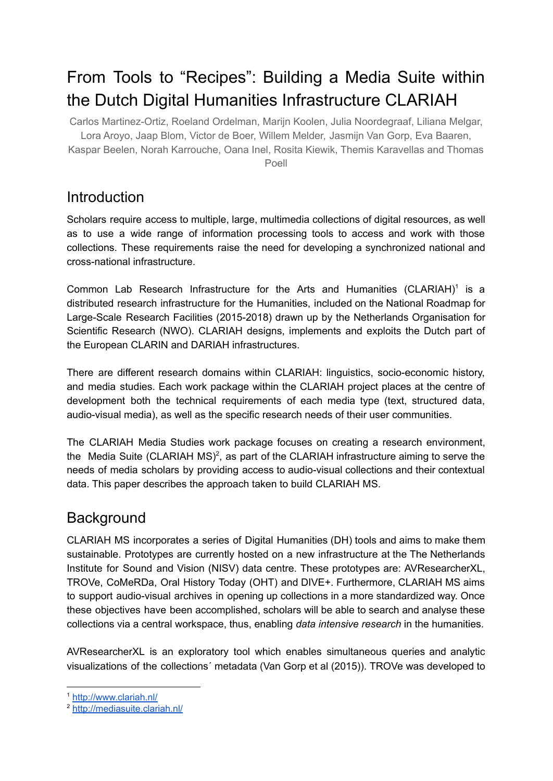# From Tools to "Recipes": Building a Media Suite within the Dutch Digital Humanities Infrastructure CLARIAH

Carlos Martinez-Ortiz, Roeland Ordelman, Marijn Koolen, Julia Noordegraaf, Liliana Melgar, Lora Aroyo, Jaap Blom, Victor de Boer, Willem Melder, Jasmijn Van Gorp, Eva Baaren, Kaspar Beelen, Norah Karrouche, Oana Inel, Rosita Kiewik, Themis Karavellas and Thomas Poell

### **Introduction**

Scholars require access to multiple, large, multimedia collections of digital resources, as well as to use a wide range of information processing tools to access and work with those collections. These requirements raise the need for developing a synchronized national and cross-national infrastructure.

Common Lab Research Infrastructure for the Arts and Humanities  $(CLARIAH)^1$  is a distributed research infrastructure for the Humanities, included on the National Roadmap for Large-Scale Research Facilities (2015-2018) drawn up by the Netherlands Organisation for Scientific Research (NWO). CLARIAH designs, implements and exploits the Dutch part of the European CLARIN and DARIAH infrastructures.

There are different research domains within CLARIAH: linguistics, socio-economic history, and media studies. Each work package within the CLARIAH project places at the centre of development both the technical requirements of each media type (text, structured data, audio-visual media), as well as the specific research needs of their user communities.

The CLARIAH Media Studies work package focuses on creating a research environment, the Media Suite (CLARIAH MS)<sup>2</sup>, as part of the CLARIAH infrastructure aiming to serve the needs of media scholars by providing access to audio-visual collections and their contextual data. This paper describes the approach taken to build CLARIAH MS.

## **Background**

CLARIAH MS incorporates a series of Digital Humanities (DH) tools and aims to make them sustainable. Prototypes are currently hosted on a new infrastructure at the The Netherlands Institute for Sound and Vision (NISV) data centre. These prototypes are: AVResearcherXL, TROVe, CoMeRDa, Oral History Today (OHT) and DIVE+. Furthermore, CLARIAH MS aims to support audio-visual archives in opening up collections in a more standardized way. Once these objectives have been accomplished, scholars will be able to search and analyse these collections via a central workspace, thus, enabling *data intensive research* in the humanities.

AVResearcherXL is an exploratory tool which enables simultaneous queries and analytic visualizations of the collections´ metadata (Van Gorp et al (2015)). TROVe was developed to

<sup>1</sup> <http://www.clariah.nl/>

<sup>2</sup> <http://mediasuite.clariah.nl/>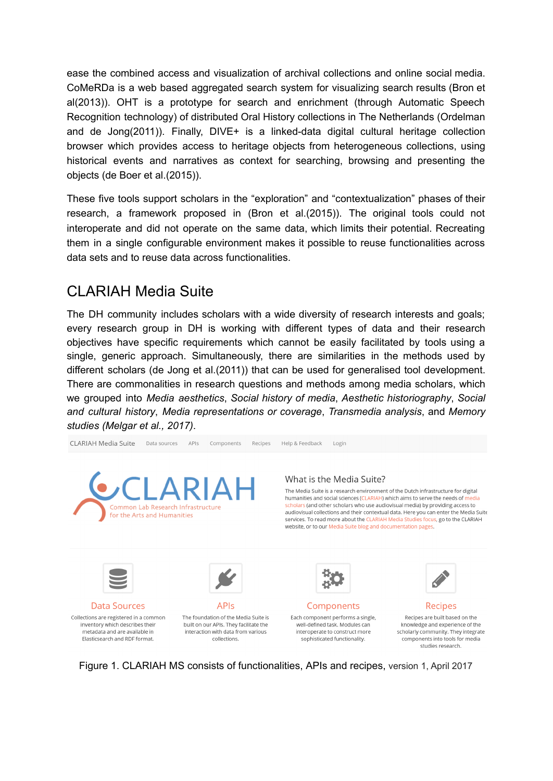ease the combined access and visualization of archival collections and online social media. CoMeRDa is a web based aggregated search system for visualizing search results (Bron et al(2013)). OHT is a prototype for search and enrichment (through Automatic Speech Recognition technology) of distributed Oral History collections in The Netherlands (Ordelman and de Jong(2011)). Finally, DIVE+ is a linked-data digital cultural heritage collection browser which provides access to heritage objects from heterogeneous collections, using historical events and narratives as context for searching, browsing and presenting the objects (de Boer et al.(2015)).

These five tools support scholars in the "exploration" and "contextualization" phases of their research, a framework proposed in (Bron et al.(2015)). The original tools could not interoperate and did not operate on the same data, which limits their potential. Recreating them in a single configurable environment makes it possible to reuse functionalities across data sets and to reuse data across functionalities.

## CLARIAH Media Suite

The DH community includes scholars with a wide diversity of research interests and goals; every research group in DH is working with different types of data and their research objectives have specific requirements which cannot be easily facilitated by tools using a single, generic approach. Simultaneously, there are similarities in the methods used by different scholars (de Jong et al.(2011)) that can be used for generalised tool development. There are commonalities in research questions and methods among media scholars, which we grouped into *Media aesthetics*, *Social history of media*, *Aesthetic historiography*, *Social and cultural history*, *Media representations or coverage*, *Transmedia analysis*, and *Memory studies (Melgar et al., 2017)*.



Figure 1. CLARIAH MS consists of functionalities, APIs and recipes, version 1, April 2017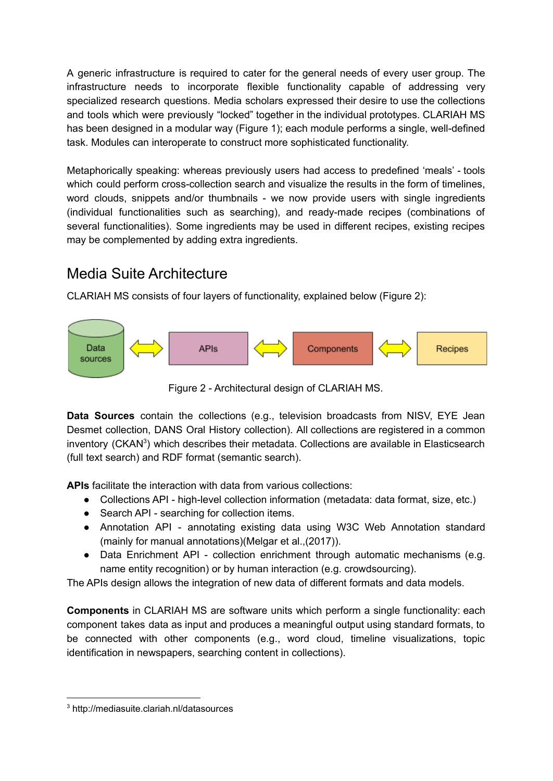A generic infrastructure is required to cater for the general needs of every user group. The infrastructure needs to incorporate flexible functionality capable of addressing very specialized research questions. Media scholars expressed their desire to use the collections and tools which were previously "locked" together in the individual prototypes. CLARIAH MS has been designed in a modular way (Figure 1); each module performs a single, well-defined task. Modules can interoperate to construct more sophisticated functionality.

Metaphorically speaking: whereas previously users had access to predefined 'meals' - tools which could perform cross-collection search and visualize the results in the form of timelines, word clouds, snippets and/or thumbnails - we now provide users with single ingredients (individual functionalities such as searching), and ready-made recipes (combinations of several functionalities). Some ingredients may be used in different recipes, existing recipes may be complemented by adding extra ingredients.

## Media Suite Architecture

CLARIAH MS consists of four layers of functionality, explained below (Figure 2):



Figure 2 - Architectural design of CLARIAH MS.

**Data Sources** contain the collections (e.g., television broadcasts from NISV, EYE Jean Desmet collection, DANS Oral History collection). All collections are registered in a common inventory (CKAN<sup>3</sup>) which describes their metadata. Collections are available in Elasticsearch (full text search) and RDF format (semantic search).

**APIs** facilitate the interaction with data from various collections:

- Collections API high-level collection information (metadata: data format, size, etc.)
- Search API searching for collection items.
- Annotation API annotating existing data using W3C Web Annotation standard (mainly for manual annotations)(Melgar et al.,(2017)).
- Data Enrichment API collection enrichment through automatic mechanisms (e.g. name entity recognition) or by human interaction (e.g. crowdsourcing).

The APIs design allows the integration of new data of different formats and data models.

**Components** in CLARIAH MS are software units which perform a single functionality: each component takes data as input and produces a meaningful output using standard formats, to be connected with other components (e.g., word cloud, timeline visualizations, topic identification in newspapers, searching content in collections).

<sup>3</sup> http://mediasuite.clariah.nl/datasources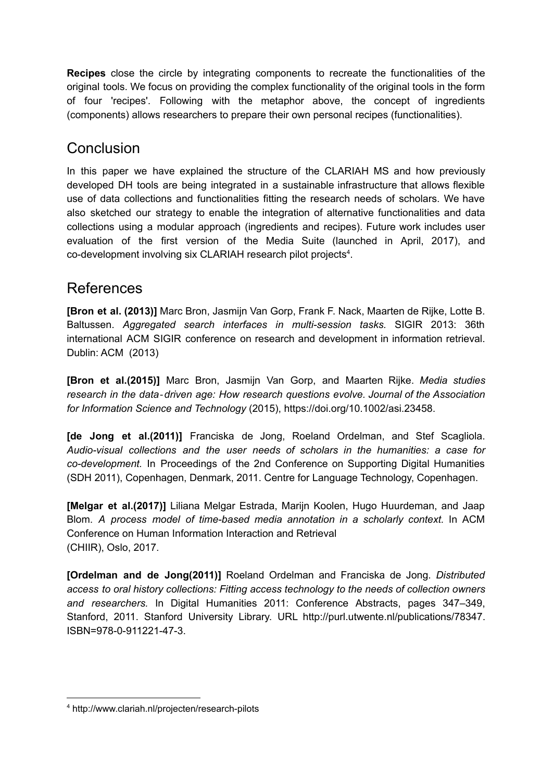**Recipes** close the circle by integrating components to recreate the functionalities of the original tools. We focus on providing the complex functionality of the original tools in the form of four 'recipes'. Following with the metaphor above, the concept of ingredients (components) allows researchers to prepare their own personal recipes (functionalities).

## **Conclusion**

In this paper we have explained the structure of the CLARIAH MS and how previously developed DH tools are being integrated in a sustainable infrastructure that allows flexible use of data collections and functionalities fitting the research needs of scholars. We have also sketched our strategy to enable the integration of alternative functionalities and data collections using a modular approach (ingredients and recipes). Future work includes user evaluation of the first version of the Media Suite (launched in April, 2017), and co-development involving six CLARIAH research pilot projects<sup>4</sup>.

### References

**[Bron et al. (2013)]** Marc Bron, Jasmijn Van Gorp, Frank F. Nack, Maarten de Rijke, Lotte B. Baltussen. *Aggregated search interfaces in multi-session tasks.* SIGIR 2013: 36th international ACM SIGIR conference on research and development in information retrieval. Dublin: ACM (2013)

**[Bron et al.(2015)]** Marc Bron, Jasmijn Van Gorp, and Maarten Rijke. *Media studies research in the data*‐*driven age: How research questions evolve. Journal of the Association for Information Science and Technology* (2015), https://doi.org/10.1002/asi.23458.

**[de Jong et al.(2011)]** Franciska de Jong, Roeland Ordelman, and Stef Scagliola. *Audio-visual collections and the user needs of scholars in the humanities: a case for co-development.* In Proceedings of the 2nd Conference on Supporting Digital Humanities (SDH 2011), Copenhagen, Denmark, 2011. Centre for Language Technology, Copenhagen.

**[Melgar et al.(2017)]** Liliana Melgar Estrada, Marijn Koolen, Hugo Huurdeman, and Jaap Blom. *A process model of time-based media annotation in a scholarly context.* In ACM Conference on Human Information Interaction and Retrieval (CHIIR), Oslo, 2017.

**[Ordelman and de Jong(2011)]** Roeland Ordelman and Franciska de Jong. *Distributed access to oral history collections: Fitting access technology to the needs of collection owners and researchers.* In Digital Humanities 2011: Conference Abstracts, pages 347–349, Stanford, 2011. Stanford University Library. URL http://purl.utwente.nl/publications/78347. ISBN=978-0-911221-47-3.

<sup>4</sup> <http://www.clariah.nl/projecten/research-pilots>